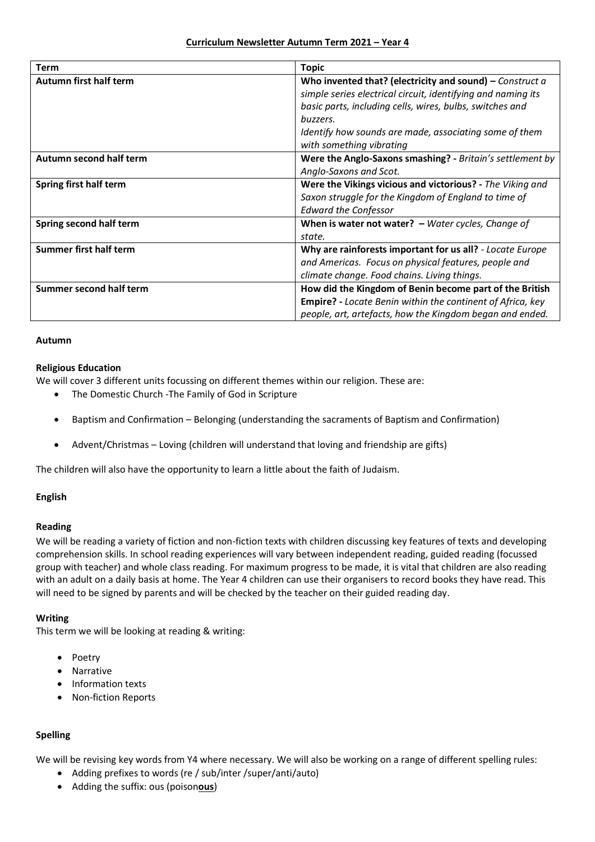| <b>Term</b>                    | <b>Topic</b>                                                 |
|--------------------------------|--------------------------------------------------------------|
| Autumn first half term         | Who invented that? (electricity and sound) – Construct $a$   |
|                                | simple series electrical circuit, identifying and naming its |
|                                | basic parts, including cells, wires, bulbs, switches and     |
|                                | buzzers.                                                     |
|                                | Identify how sounds are made, associating some of them       |
|                                | with something vibrating                                     |
| Autumn second half term        | Were the Anglo-Saxons smashing? - Britain's settlement by    |
|                                | Anglo-Saxons and Scot.                                       |
| Spring first half term         | Were the Vikings vicious and victorious? - The Viking and    |
|                                | Saxon struggle for the Kingdom of England to time of         |
|                                | <b>Edward the Confessor</b>                                  |
| Spring second half term        | When is water not water? $-$ Water cycles, Change of         |
|                                | state.                                                       |
| <b>Summer first half term</b>  | Why are rainforests important for us all? - Locate Europe    |
|                                | and Americas. Focus on physical features, people and         |
|                                | climate change. Food chains. Living things.                  |
| <b>Summer second half term</b> | How did the Kingdom of Benin become part of the British      |
|                                | Empire? - Locate Benin within the continent of Africa, key   |
|                                | people, art, artefacts, how the Kingdom began and ended.     |

#### **Autumn**

#### **Religious Education**

We will cover 3 different units focussing on different themes within our religion. These are:

- The Domestic Church -The Family of God in Scripture
- Baptism and Confirmation Belonging (understanding the sacraments of Baptism and Confirmation)
- Advent/Christmas Loving (children will understand that loving and friendship are gifts)

The children will also have the opportunity to learn a little about the faith of Judaism.

## **English**

## **Reading**

We will be reading a variety of fiction and non-fiction texts with children discussing key features of texts and developing comprehension skills. In school reading experiences will vary between independent reading, guided reading (focussed group with teacher) and whole class reading. For maximum progress to be made, it is vital that children are also reading with an adult on a daily basis at home. The Year 4 children can use their organisers to record books they have read. This will need to be signed by parents and will be checked by the teacher on their guided reading day.

#### **Writing**

This term we will be looking at reading & writing:

- Poetry
- Narrative
- Information texts
- Non-fiction Reports

## **Spelling**

We will be revising key words from Y4 where necessary. We will also be working on a range of different spelling rules:

- Adding prefixes to words (re / sub/inter /super/anti/auto)
- Adding the suffix: ous (poison**ous**)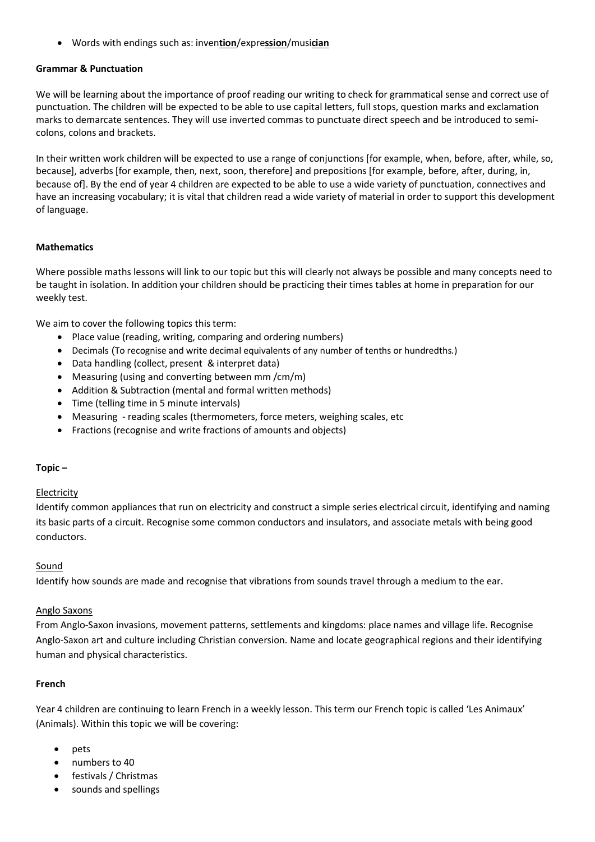Words with endings such as: inven**tion**/expre**ssion**/musi**cian**

# **Grammar & Punctuation**

We will be learning about the importance of proof reading our writing to check for grammatical sense and correct use of punctuation. The children will be expected to be able to use capital letters, full stops, question marks and exclamation marks to demarcate sentences. They will use inverted commas to punctuate direct speech and be introduced to semicolons, colons and brackets.

In their written work children will be expected to use a range of conjunctions [for example, when, before, after, while, so, because], adverbs [for example, then, next, soon, therefore] and prepositions [for example, before, after, during, in, because of]. By the end of year 4 children are expected to be able to use a wide variety of punctuation, connectives and have an increasing vocabulary; it is vital that children read a wide variety of material in order to support this development of language.

## **Mathematics**

Where possible maths lessons will link to our topic but this will clearly not always be possible and many concepts need to be taught in isolation. In addition your children should be practicing their times tables at home in preparation for our weekly test.

We aim to cover the following topics this term:

- Place value (reading, writing, comparing and ordering numbers)
- Decimals (To recognise and write decimal equivalents of any number of tenths or hundredths.)
- Data handling (collect, present & interpret data)
- Measuring (using and converting between mm /cm/m)
- Addition & Subtraction (mental and formal written methods)
- Time (telling time in 5 minute intervals)
- Measuring reading scales (thermometers, force meters, weighing scales, etc
- Fractions (recognise and write fractions of amounts and objects)

## **Topic –**

## Electricity

Identify common appliances that run on electricity and construct a simple series electrical circuit, identifying and naming its basic parts of a circuit. Recognise some common conductors and insulators, and associate metals with being good conductors.

## Sound

Identify how sounds are made and recognise that vibrations from sounds travel through a medium to the ear.

## Anglo Saxons

From Anglo-Saxon invasions, movement patterns, settlements and kingdoms: place names and village life. Recognise Anglo-Saxon art and culture including Christian conversion. Name and locate geographical regions and their identifying human and physical characteristics.

## **French**

Year 4 children are continuing to learn French in a weekly lesson. This term our French topic is called 'Les Animaux' (Animals). Within this topic we will be covering:

- pets
- numbers to 40
- festivals / Christmas
- sounds and spellings